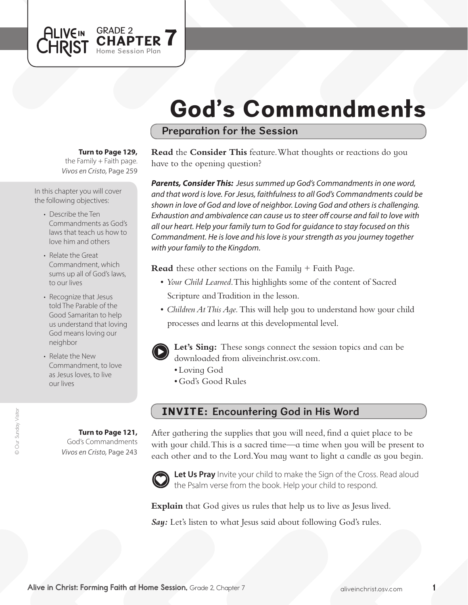# God's Commandments

## Preparation for the Session

**Turn to Page 129,** 

GRADE 2

Home Session Plan

APTER  $\blacktriangle$ 

*Vivos en Cristo,* Page 259 the Family  $+$  Faith page.

In this chapter you will cover the following objectives:

**ALIVEIN** 

**LHRIST** 

- Describe the Ten Commandments as God's laws that teach us how to love him and others
- Relate the Great Commandment, which sums up all of God's laws, to our lives
- Recognize that Jesus told The Parable of the Good Samaritan to help us understand that loving God means loving our neighbor
- Relate the New Commandment, to love as Jesus loves, to live our lives

© Our Sunday Visitor © Our Sunday Visito

#### **Turn to Page 121,**

God's Commandments *Vivos en Cristo,* Page 243

## **Read** the **Consider This** feature. What thoughts or reactions do you have to the opening question?

*Parents, Consider This: Jesus summed up God's Commandments in one word, and that word is love. For Jesus, faithfulness to all God's Commandments could be shown in love of God and love of neighbor. Loving God and others is challenging. Exhaustion and ambivalence can cause us to steer off course and fail to love with all our heart. Help your family turn to God for guidance to stay focused on this Commandment. He is love and his love is your strength as you journey together with your family to the Kingdom.* 

**Read** these other sections on the Family + Faith Page.

- *Your Child Learned*. This highlights some of the content of Sacred Scripture and Tradition in the lesson.
- *Children At This Aqe*. This will help you to understand how your child processes and learns at this developmental level.



**Let's Sing:** These songs connect the session topics and can be downloaded from aliveinchrist.osv.com.

- Loving God
- • God's Good Rules

## INVITE: Encountering God in His Word

After gathering the supplies that you will need, find a quiet place to be with your child. This is a sacred time—a time when you will be present to each other and to the Lord.You may want to light a candle as you begin.



Let Us Pray Invite your child to make the Sign of the Cross. Read aloud the Psalm verse from the book. Help your child to respond.

**Explain** that God gives us rules that help us to live as Jesus lived.

Say: Let's listen to what Jesus said about following God's rules.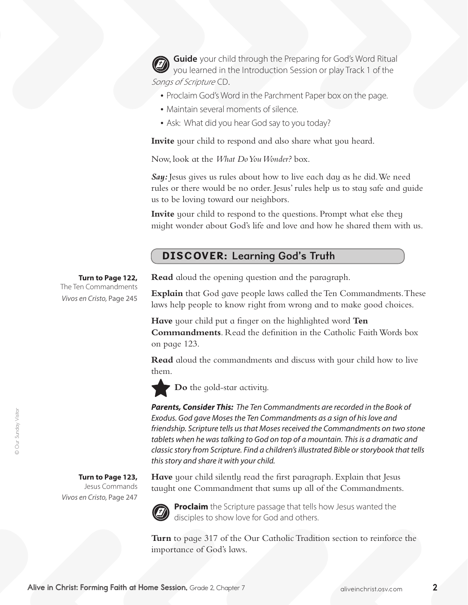**Guide** your child through the Preparing for God's Word Ritual you learned in the Introduction Session or play Track 1 of the Songs of Scripture CD.

- Proclaim God's Word in the Parchment Paper box on the page.
- Maintain several moments of silence.
- Ask: What did you hear God say to you today?

**Invite** your child to respond and also share what you heard.

Now, look at the *What Do You Wonder?* box.

*Say:* Jesus gives us rules about how to live each day as he did.We need rules or there would be no order. Jesus' rules help us to stay safe and guide us to be loving toward our neighbors.

**Invite** your child to respond to the questions. Prompt what else they might wonder about God's life and love and how he shared them with us.

# DISCOVER: Learning God's Truth

### **Turn to Page 122,**

The Ten Commandments *Vivos en Cristo,* Page 245 **Read** aloud the opening question and the paragraph.

**Explain** that God gave people laws called the Ten Commandments. These laws help people to know right from wrong and to make good choices.

**Have** your child put a finger on the highlighted word **Ten Commandments**. Read the definition in the Catholic FaithWords box on page 123.

**Read** aloud the commandments and discuss with your child how to live them.

**Do** the gold-star activity.

*Parents, Consider This: The Ten Commandments are recorded in the Book of Exodus. God gave Moses the Ten Commandments as a sign of his love and friendship. Scripture tells us that Moses received the Commandments on two stone*  tablets when he was talking to God on top of a mountain. This is a dramatic and *classic story from Scripture. Find a children's illustrated Bible or storybook that tells this story and share it with your child.* 

**Turn to Page 123,** 

Jesus Commands *Vivos en Cristo,* Page 247 **Have** your child silently read the first paragraph. Explain that Jesus taught one Commandment that sums up all of the Commandments.



**Proclaim** the Scripture passage that tells how Jesus wanted the disciples to show love for God and others.

**Turn** to page 317 of the Our Catholic Tradition section to reinforce the importance of God's laws.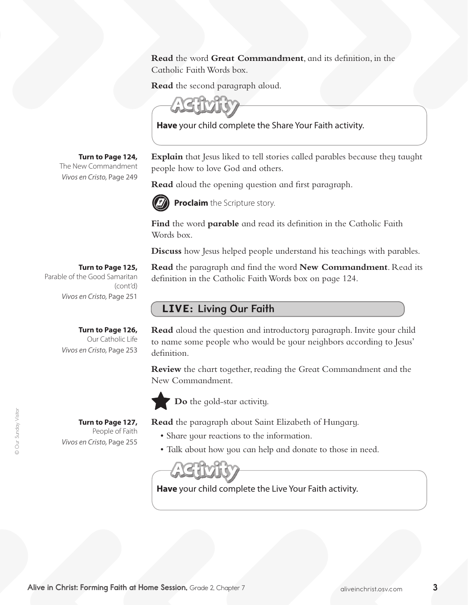**Read** the word **Great Commandment**, and its definition, in the Catholic FaithWords box.

**Read** the second paragraph aloud.



**Have** your child complete the Share Your Faith activity.

**Explain** that Jesus liked to tell stories called parables because they taught people how to love God and others.

**Read** aloud the opening question and first paragraph.

definition in the Catholic FaithWords box on page 124.



**Proclaim** the Scripture story.

**Find** the word **parable** and read its definition in the Catholic Faith Words box.

**Discuss** how Jesus helped people understand his teachings with parables.

**Read** the paragraph and find the word **New Commandment**. Read its

**Turn to Page 125,**

**Turn to Page 124,** The New Commandment *Vivos en Cristo,* Page 249

Parable of the Good Samaritan (cont'd) *Vivos en Cristo,* Page 251

**Turn to Page 126,** 

**Turn to Page 127,**  People of Faith

*Vivos en Cristo,* Page 255

Our Catholic Life *Vivos en Cristo,* Page 253

LIVE: Living Our Faith

**Read** aloud the question and introductory paragraph. Invite your child to name some people who would be your neighbors according to Jesus' definition.

**Review** the chart together, reading the Great Commandment and the New Commandment.



**Do** the gold-star activity.

**Read** the paragraph about Saint Elizabeth of Hungary.

- Share your reactions to the information.
- Talk about how you can help and donate to those in need.



**Have** your child complete the Live Your Faith activity.